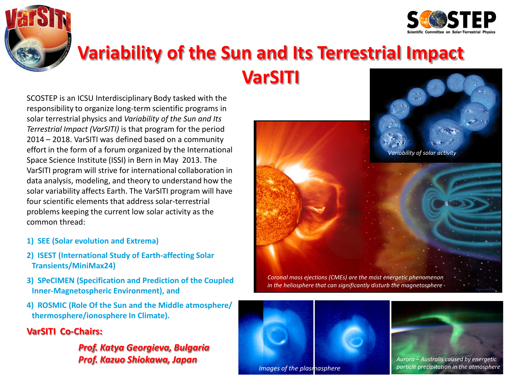



# **Variability of the Sun and Its Terrestrial Impact VarSITI**

SCOSTEP is an ICSU Interdisciplinary Body tasked with the responsibility to organize long-term scientific programs in solar terrestrial physics and *Variability of the Sun and Its Terrestrial Impact (VarSITI)* is that program for the period 2014 – 2018. VarSITI was defined based on a community effort in the form of a forum organized by the International Space Science Institute (ISSI) in Bern in May 2013. The VarSITI program will strive for international collaboration in data analysis, modeling, and theory to understand how the solar variability affects Earth. The VarSITI program will have four scientific elements that address solar-terrestrial problems keeping the current low solar activity as the common thread:

- **1) SEE (Solar evolution and Extrema)**
- **2) ISEST (International Study of Earth-affecting Solar Transients/MiniMax24)**
- **3) SPeCIMEN (Specification and Prediction of the Coupled Inner-Magnetospheric Environment), and**
- **4) ROSMIC (Role Of the Sun and the Middle atmosphere/ thermosphere/ionosphere In Climate).**

### **VarSITI Co-Chairs:**

### *Prof. Katya Georgieva, Bulgaria Prof. Kazuo Shiokawa, Japan*





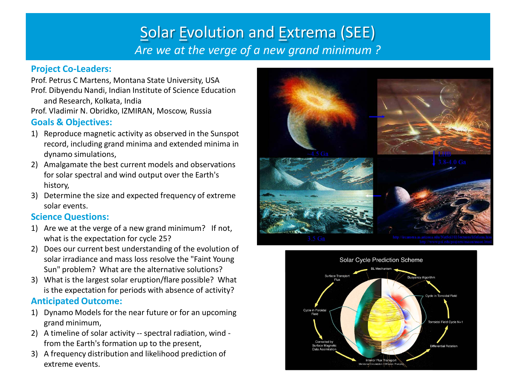## Solar Evolution and Extrema (SEE) *Are we at the verge of a new grand minimum ?*

### **Project Co-Leaders:**

Prof. Petrus C Martens, Montana State University, USA Prof. Dibyendu Nandi, Indian Institute of Science Education and Research, Kolkata, India Prof. Vladimir N. Obridko, IZMIRAN, Moscow, Russia

### **Goals & Objectives:**

- 1) Reproduce magnetic activity as observed in the Sunspot record, including grand minima and extended minima in dynamo simulations,
- 2) Amalgamate the best current models and observations for solar spectral and wind output over the Earth's history,
- 3) Determine the size and expected frequency of extreme solar events.

### **Science Questions:**

- 1) Are we at the verge of a new grand minimum? If not, what is the expectation for cycle 25?
- 2) Does our current best understanding of the evolution of solar irradiance and mass loss resolve the "Faint Young Sun" problem? What are the alternative solutions?
- 3) What is the largest solar eruption/flare possible? What is the expectation for periods with absence of activity?

### **Anticipated Outcome:**

- 1) Dynamo Models for the near future or for an upcoming grand minimum,
- 2) A timeline of solar activity -- spectral radiation, wind from the Earth's formation up to the present,
- 3) A frequency distribution and likelihood prediction of extreme events.



Solar Cycle Prediction Scheme Surface Transpo **Buoyancy Algorithm** e in Torroidal Field Forroidal Field Cycle N+1 **Differential Rotation Interior Flux Trans**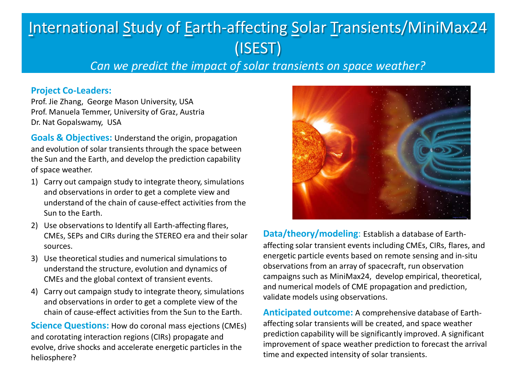## International Study of Earth-affecting Solar Transients/MiniMax24 (ISEST)

*Can we predict the impact of solar transients on space weather?* 

#### **Project Co-Leaders:**

Prof. Jie Zhang, George Mason University, USA Prof. Manuela Temmer, University of Graz, Austria Dr. Nat Gopalswamy, USA

**Goals & Objectives:** Understand the origin, propagation and evolution of solar transients through the space between the Sun and the Earth, and develop the prediction capability of space weather.

- 1) Carry out campaign study to integrate theory, simulations and observations in order to get a complete view and understand of the chain of cause-effect activities from the Sun to the Earth.
- 2) Use observations to Identify all Earth-affecting flares, CMEs, SEPs and CIRs during the STEREO era and their solar sources.
- 3) Use theoretical studies and numerical simulations to understand the structure, evolution and dynamics of CMEs and the global context of transient events.
- 4) Carry out campaign study to integrate theory, simulations and observations in order to get a complete view of the chain of cause-effect activities from the Sun to the Earth.

**Science Questions:** How do coronal mass ejections (CMEs) and corotating interaction regions (CIRs) propagate and evolve, drive shocks and accelerate energetic particles in the heliosphere?



**Data/theory/modeling**: Establish a database of Earthaffecting solar transient events including CMEs, CIRs, flares, and energetic particle events based on remote sensing and in-situ observations from an array of spacecraft, run observation campaigns such as MiniMax24, develop empirical, theoretical, and numerical models of CME propagation and prediction, validate models using observations.

**Anticipated outcome:** A comprehensive database of Earthaffecting solar transients will be created, and space weather prediction capability will be significantly improved. A significant improvement of space weather prediction to forecast the arrival time and expected intensity of solar transients.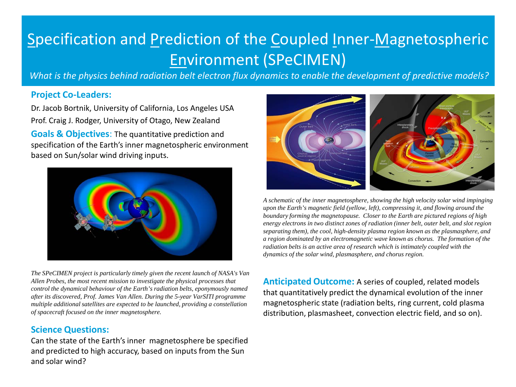## Specification and Prediction of the Coupled Inner-Magnetospheric Environment (SPeCIMEN)

*What is the physics behind radiation belt electron flux dynamics to enable the development of predictive models?* 

#### **Project Co-Leaders:**

Dr. Jacob Bortnik, University of California, Los Angeles USA Prof. Craig J. Rodger, University of Otago, New Zealand **Goals & Objectives**: The quantitative prediction and specification of the Earth's inner magnetospheric environment based on Sun/solar wind driving inputs.



*The SPeCIMEN project is particularly timely given the recent launch of NASA's Van Allen Probes, the most recent mission to investigate the physical processes that control the dynamical behaviour of the Earth's radiation belts, eponymously named after its discovered, Prof. James Van Allen. During the 5-year VarSITI programme multiple additional satellites are expected to be launched, providing a constellation of spacecraft focused on the inner magnetosphere.* 

### **Science Questions:**

Can the state of the Earth's inner magnetosphere be specified and predicted to high accuracy, based on inputs from the Sun and solar wind?



*A schematic of the inner magnetosphere, showing the high velocity solar wind impinging upon the Earth's magnetic field (yellow, left), compressing it, and flowing around the boundary forming the magnetopause. Closer to the Earth are pictured regions of high energy electrons in two distinct zones of radiation (inner belt, outer belt, and slot region separating them), the cool, high-density plasma region known as the plasmasphere, and a region dominated by an electromagnetic wave known as chorus. The formation of the radiation belts is an active area of research which is intimately coupled with the dynamics of the solar wind, plasmasphere, and chorus region.*

**Anticipated Outcome:** A series of coupled, related models that quantitatively predict the dynamical evolution of the inner magnetospheric state (radiation belts, ring current, cold plasma distribution, plasmasheet, convection electric field, and so on).